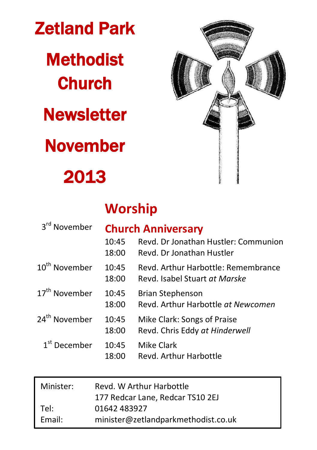Zetland Park **Methodist Church Newsletter** November

# 2013



## **Worship**

| 3 <sup>rd</sup> November  |                | <b>Church Anniversary</b>                                            |  |  |
|---------------------------|----------------|----------------------------------------------------------------------|--|--|
|                           | 10:45<br>18:00 | Revd. Dr Jonathan Hustler: Communion<br>Revd. Dr Jonathan Hustler    |  |  |
| 10 <sup>th</sup> November | 10:45<br>18:00 | Revd. Arthur Harbottle: Remembrance<br>Revd. Isabel Stuart at Marske |  |  |
| 17 <sup>th</sup> November | 10:45<br>18:00 | <b>Brian Stephenson</b><br>Revd. Arthur Harbottle at Newcomen        |  |  |
| 24 <sup>th</sup> November | 10:45<br>18:00 | Mike Clark: Songs of Praise<br>Revd. Chris Eddy at Hinderwell        |  |  |
| $1st$ December            | 10:45<br>18:00 | <b>Mike Clark</b><br>Revd. Arthur Harbottle                          |  |  |

| Minister: | Revd. W Arthur Harbottle            |
|-----------|-------------------------------------|
|           | 177 Redcar Lane, Redcar TS10 2EJ    |
| Tel:      | 01642 483927                        |
| Email:    | minister@zetlandparkmethodist.co.uk |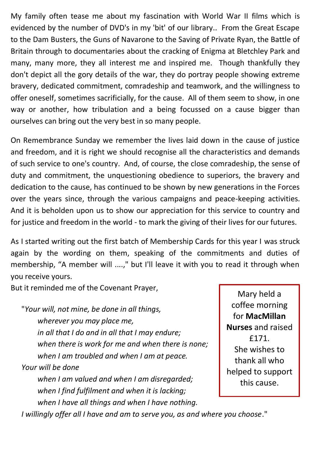My family often tease me about my fascination with World War II films which is evidenced by the number of DVD's in my 'bit' of our library.. From the Great Escape to the Dam Busters, the Guns of Navarone to the Saving of Private Ryan, the Battle of Britain through to documentaries about the cracking of Enigma at Bletchley Park and many, many more, they all interest me and inspired me. Though thankfully they don't depict all the gory details of the war, they do portray people showing extreme bravery, dedicated commitment, comradeship and teamwork, and the willingness to offer oneself, sometimes sacrificially, for the cause. All of them seem to show, in one way or another, how tribulation and a being focussed on a cause bigger than ourselves can bring out the very best in so many people.

On Remembrance Sunday we remember the lives laid down in the cause of justice and freedom, and it is right we should recognise all the characteristics and demands of such service to one's country. And, of course, the close comradeship, the sense of duty and commitment, the unquestioning obedience to superiors, the bravery and dedication to the cause, has continued to be shown by new generations in the Forces over the years since, through the various campaigns and peace-keeping activities. And it is beholden upon us to show our appreciation for this service to country and for justice and freedom in the world - to mark the giving of their lives for our futures.

As I started writing out the first batch of Membership Cards for this year I was struck again by the wording on them, speaking of the commitments and duties of membership, "A member will ....," but I'll leave it with you to read it through when you receive yours.

But it reminded me of the Covenant Prayer,

"*Your will, not mine, be done in all things, wherever you may place me, in all that I do and in all that I may endure; when there is work for me and when there is none; when I am troubled and when I am at peace. Your will be done when I am valued and when I am disregarded; when I find fulfilment and when it is lacking;*

*when I have all things and when I have nothing.*

Mary held a coffee morning for **MacMillan Nurses** and raised £171. She wishes to thank all who helped to support this cause.

*I willingly offer all I have and am to serve you, as and where you choose*."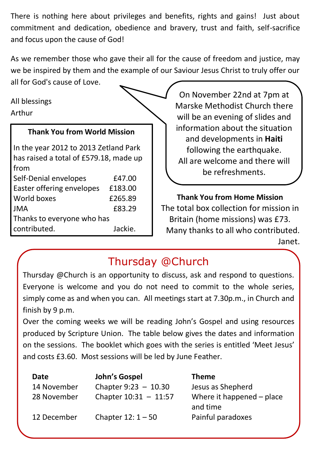There is nothing here about privileges and benefits, rights and gains! Just about commitment and dedication, obedience and bravery, trust and faith, self-sacrifice and focus upon the cause of God!

As we remember those who gave their all for the cause of freedom and justice, may we be inspired by them and the example of our Saviour Jesus Christ to truly offer our

all for God's cause of Love.

All blessings Arthur

#### **Thank You from World Mission**

In the year 2012 to 2013 Zetland Park has raised a total of £579.18, made up from Self-Denial envelopes E47.00 Easter offering envelopes £183.00 World boxes 6265.89 JMA £83.29 Thanks to everyone who has contributed. Jackie.

On November 22nd at 7pm at Marske Methodist Church there will be an evening of slides and information about the situation and developments in **Haiti** following the earthquake. All are welcome and there will be refreshments.

**Thank You from Home Mission** The total box collection for mission in Britain (home missions) was £73. Many thanks to all who contributed. Janet.

## Thursday @Church

Thursday @Church is an opportunity to discuss, ask and respond to questions. Everyone is welcome and you do not need to commit to the whole series, simply come as and when you can. All meetings start at 7.30p.m., in Church and finish by 9 p.m.

Over the coming weeks we will be reading John's Gospel and using resources produced by Scripture Union. The table below gives the dates and information on the sessions. The booklet which goes with the series is entitled 'Meet Jesus' and costs £3.60. Most sessions will be led by June Feather.

| Date        | John's Gospel           | <b>Theme</b>              |
|-------------|-------------------------|---------------------------|
| 14 November | Chapter $9:23 - 10.30$  | Jesus as Shepherd         |
| 28 November | Chapter $10:31 - 11:57$ | Where it happened - place |
|             |                         | and time                  |
| 12 December | Chapter $12:1 - 50$     | Painful paradoxes         |